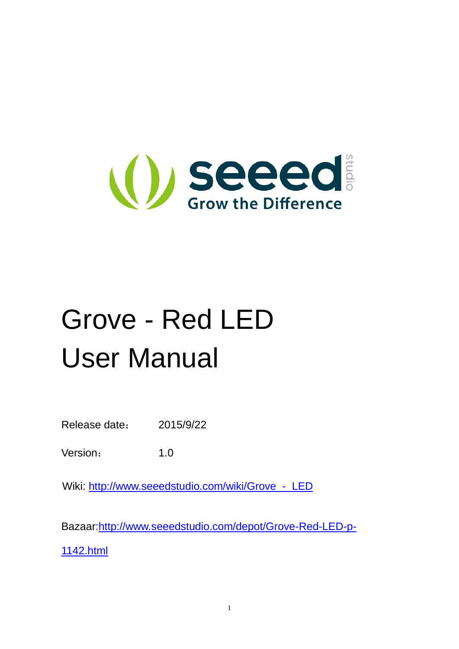

# Grove - Red LED User Manual

Release date: 2015/9/22

Version: 1.0

Wiki: [http://www.seeedstudio.com/wiki/Grove\\_-\\_LED](http://www.seeedstudio.com/wiki/Grove_-_LED)

Bazaar[:http://www.seeedstudio.com/depot/Grove-Red-LED-p-](http://www.seeedstudio.com/depot/Grove-Red-LED-p-1142.html)

[1142.html](http://www.seeedstudio.com/depot/Grove-Red-LED-p-1142.html)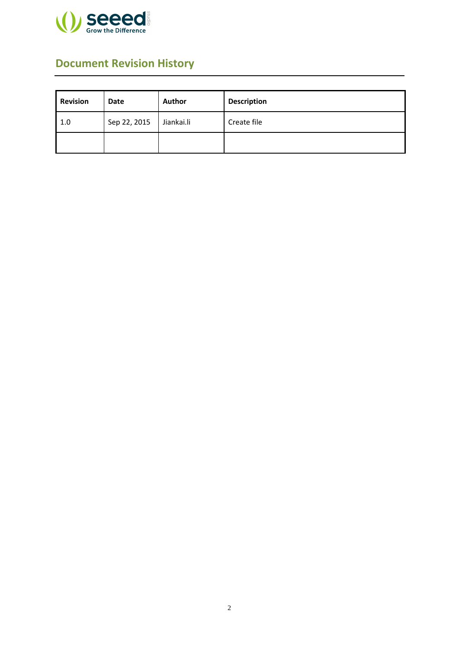

### <span id="page-1-0"></span>**Document Revision History**

| <b>Revision</b>     | <b>Date</b> | Author     | <b>Description</b> |
|---------------------|-------------|------------|--------------------|
| Sep 22, 2015<br>1.0 |             | Jiankai.li | Create file        |
|                     |             |            |                    |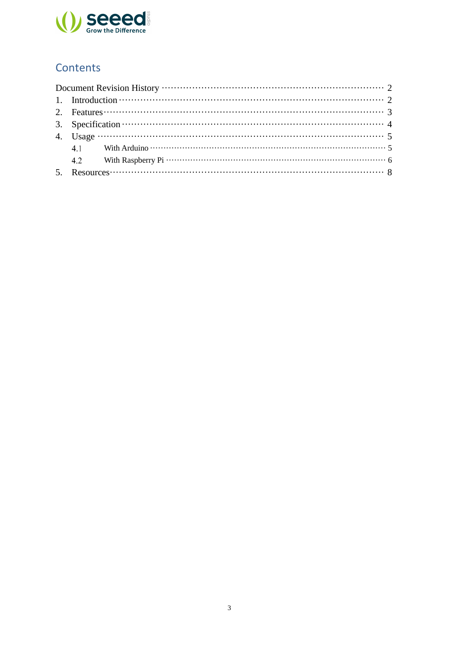

### Contents

| 2. Features $\cdots$ $\cdots$ $\cdots$ $\cdots$ $\cdots$ $\cdots$ $\cdots$ $\cdots$ $\cdots$ $\cdots$ $\cdots$ $\cdots$ $\cdots$ $\cdots$ $\cdots$ $\cdots$ $\cdots$ $\cdots$ $\cdots$ $\cdots$ $\cdots$ $\cdots$ $\cdots$ $\cdots$ $\cdots$ $\cdots$ $\cdots$ $\cdots$ $\cdots$ $\cdots$ $\cdots$ $\cdots$ $\cdots$ $\cdots$ $\cdots$  |                                                                                                                                                                                                                                                                                                                                         |  |  |
|-----------------------------------------------------------------------------------------------------------------------------------------------------------------------------------------------------------------------------------------------------------------------------------------------------------------------------------------|-----------------------------------------------------------------------------------------------------------------------------------------------------------------------------------------------------------------------------------------------------------------------------------------------------------------------------------------|--|--|
|                                                                                                                                                                                                                                                                                                                                         |                                                                                                                                                                                                                                                                                                                                         |  |  |
| 4. Usage $\cdots$ $\cdots$ $\cdots$ $\cdots$ $\cdots$ $\cdots$ $\cdots$ $\cdots$ $\cdots$ $\cdots$ $\cdots$ $\cdots$ $\cdots$ $\cdots$ $\cdots$ $\cdots$ $\cdots$ $\cdots$ $\cdots$ $\cdots$ $\cdots$ $\cdots$ $\cdots$ $\cdots$ $\cdots$ $\cdots$ $\cdots$ $\cdots$ $\cdots$ $\cdots$ $\cdots$ $\cdots$ $\cdots$ $\cdots$ $\cdots$ $\$ |                                                                                                                                                                                                                                                                                                                                         |  |  |
|                                                                                                                                                                                                                                                                                                                                         |                                                                                                                                                                                                                                                                                                                                         |  |  |
|                                                                                                                                                                                                                                                                                                                                         |                                                                                                                                                                                                                                                                                                                                         |  |  |
|                                                                                                                                                                                                                                                                                                                                         | 5. Resources $\cdots$ $\cdots$ $\cdots$ $\cdots$ $\cdots$ $\cdots$ $\cdots$ $\cdots$ $\cdots$ $\cdots$ $\cdots$ $\cdots$ $\cdots$ $\cdots$ $\cdots$ $\cdots$ $\cdots$ $\cdots$ $\cdots$ $\cdots$ $\cdots$ $\cdots$ $\cdots$ $\cdots$ $\cdots$ $\cdots$ $\cdots$ $\cdots$ $\cdots$ $\cdots$ $\cdots$ $\cdots$ $\cdots$ $\cdots$ $\cdots$ |  |  |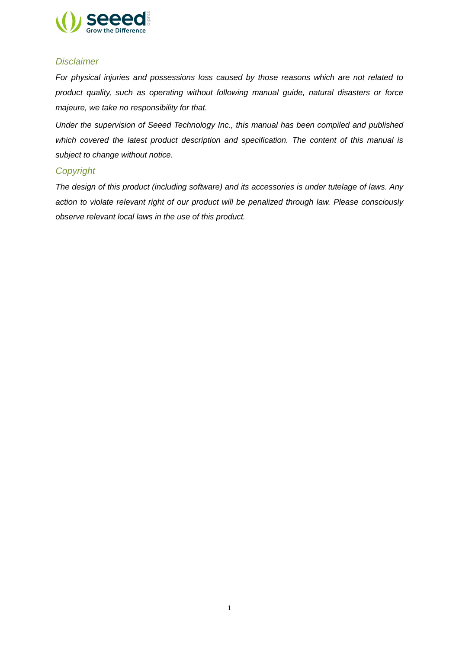

#### *Disclaimer*

*For physical injuries and possessions loss caused by those reasons which are not related to product quality, such as operating without following manual guide, natural disasters or force majeure, we take no responsibility for that.* 

*Under the supervision of Seeed Technology Inc., this manual has been compiled and published which covered the latest product description and specification. The content of this manual is subject to change without notice.*

#### *Copyright*

*The design of this product (including software) and its accessories is under tutelage of laws. Any action to violate relevant right of our product will be penalized through law. Please consciously observe relevant local laws in the use of this product.*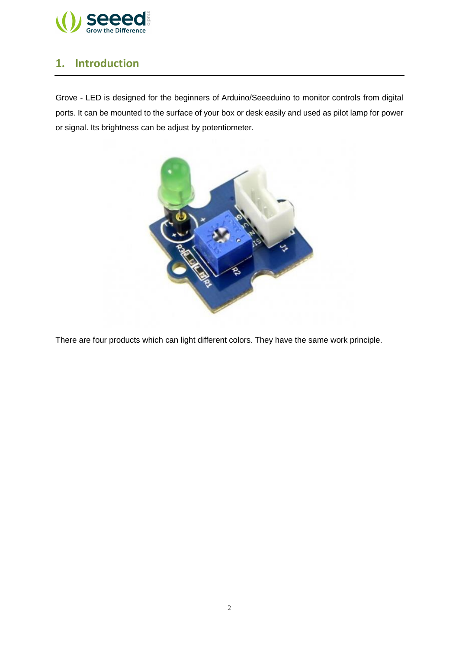

#### <span id="page-4-0"></span>**1. Introduction**

Grove - LED is designed for the beginners of Arduino/Seeeduino to monitor controls from digital ports. It can be mounted to the surface of your box or desk easily and used as pilot lamp for power or signal. Its brightness can be adjust by potentiometer.



There are four products which can light different colors. They have the same work principle.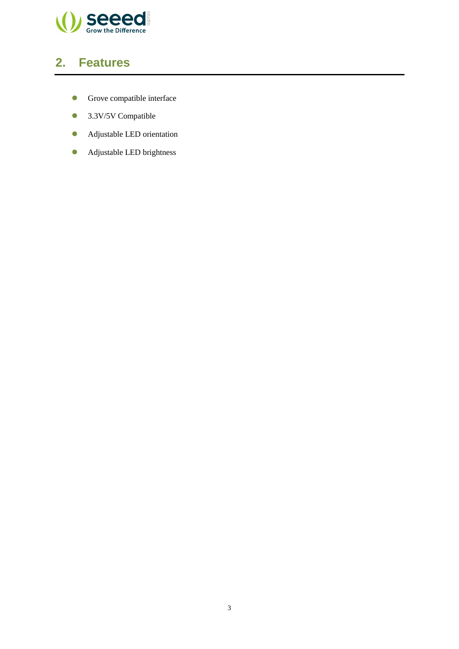

## <span id="page-5-0"></span>**2. Features**

- **Grove compatible interface**
- **3.3V/5V Compatible**
- Adjustable LED orientation
- **Adjustable LED brightness**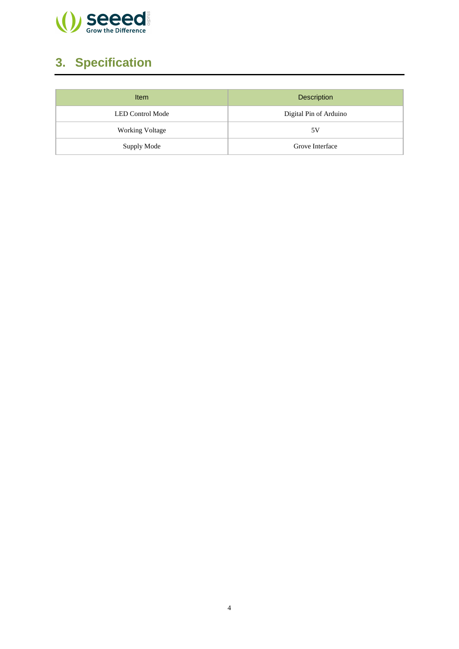

# <span id="page-6-0"></span>**3. Specification**

| Item                    | <b>Description</b>     |
|-------------------------|------------------------|
| <b>LED Control Mode</b> | Digital Pin of Arduino |
| <b>Working Voltage</b>  | 5 V                    |
| Supply Mode             | Grove Interface        |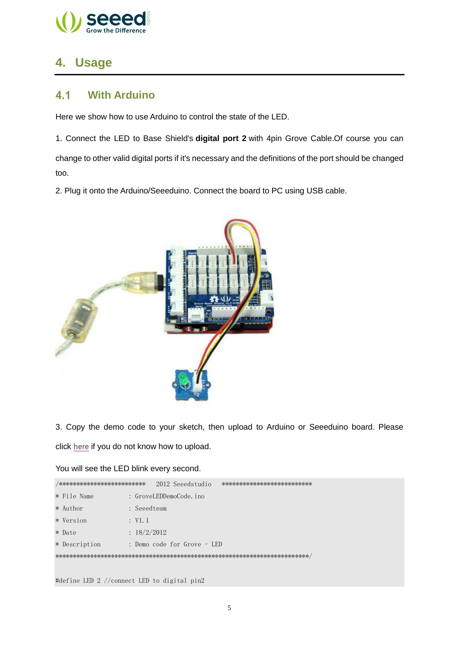

#### <span id="page-7-0"></span>4. Usage

#### <span id="page-7-1"></span> $4.1$ **With Arduino**

Here we show how to use Arduino to control the state of the LED.

1. Connect the LED to Base Shield's digital port 2 with 4pin Grove Cable.Of course you can change to other valid digital ports if it's necessary and the definitions of the port should be changed too.

2. Plug it onto the Arduino/Seeeduino. Connect the board to PC using USB cable.



3. Copy the demo code to your sketch, then upload to Arduino or Seeeduino board. Please click here if you do not know how to upload.

You will see the LED blink every second.

| /*************************                  |             |  | 2012 Seeedstudio            | ************************** |
|---------------------------------------------|-------------|--|-----------------------------|----------------------------|
| * File Name                                 |             |  | : GroveLEDDemoCode.ino      |                            |
| $*$ Author                                  | : Seeedteam |  |                             |                            |
| * Version                                   | : V1.1      |  |                             |                            |
| * Date                                      | : 18/2/2012 |  |                             |                            |
| * Description                               |             |  | : Demo code for Grove - LED |                            |
|                                             |             |  |                             |                            |
|                                             |             |  |                             |                            |
| #define LED 2 //connect LED to digital pin2 |             |  |                             |                            |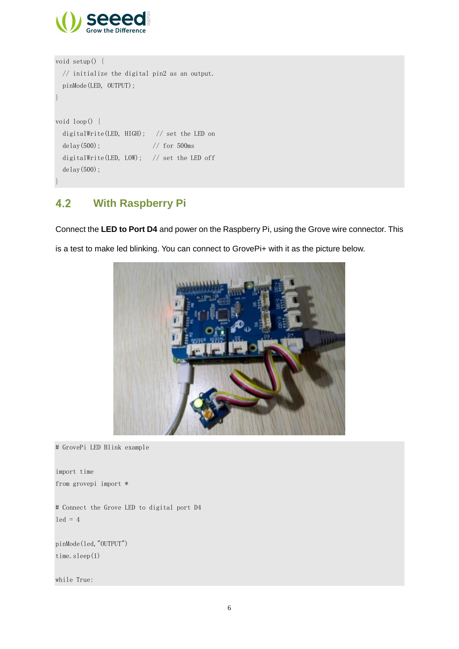

```
void setup() { 
   // initialize the digital pin2 as an output.
   pinMode(LED, OUTPUT); 
}
void loop() {
   digitalWrite(LED, HIGH); // set the LED on
  delay(500); \frac{1}{\sqrt{6}} for 500ms
   digitalWrite(LED, LOW); // set the LED off
   delay(500);
}
```
#### <span id="page-8-0"></span> $4.2$ **With [Raspberry Pi](http://www.seeedstudio.com/wiki/GrovePi%2B)**

Connect the **LED to Port D4** and power on the Raspberry Pi, using the Grove wire connector. This

is a test to make led blinking. You can connect to GrovePi+ with it as the picture below.



# GrovePi LED Blink example

import time from grovepi import \*

# Connect the Grove LED to digital port D4  $led = 4$ 

pinMode(led,"OUTPUT") time.sleep(1)

while True: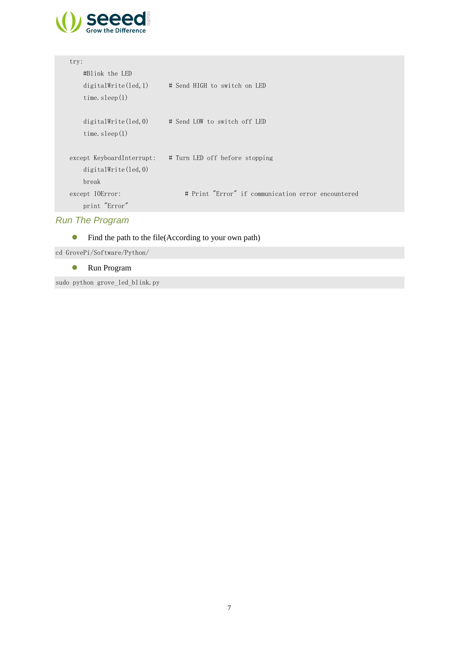

| try:                 |                                                          |
|----------------------|----------------------------------------------------------|
| #Blink the LED       |                                                          |
| digitalWrite(led, 1) | # Send HIGH to switch on LED                             |
| time. $sleep(1)$     |                                                          |
|                      |                                                          |
|                      | $digitalWrite(led, 0)$ # Send LOW to switch off LED      |
| time. $sleep(1)$     |                                                          |
|                      |                                                          |
|                      | except KeyboardInterrupt: # Turn LED off before stopping |
| digitalWrite(led, 0) |                                                          |
| break                |                                                          |
|                      |                                                          |
| except IOError:      | # Print "Error" if communication error encountered       |
| print "Error"        |                                                          |
|                      |                                                          |

#### *Run The Program*

• Find the path to the file(According to your own path)

cd GrovePi/Software/Python/

Run Program

sudo python grove\_led\_blink.py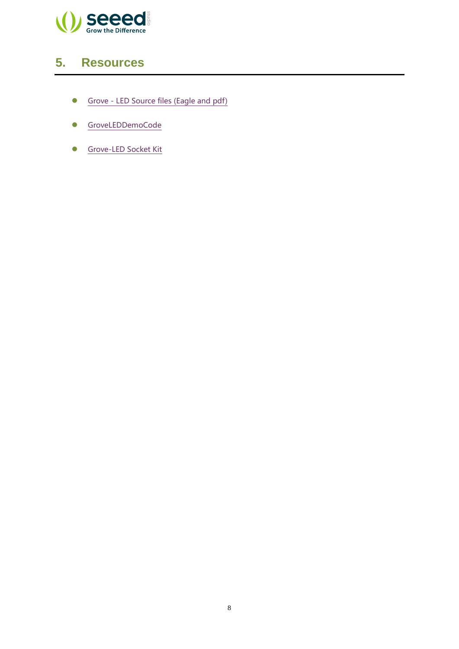

# <span id="page-10-0"></span>**5. Resources**

- Grove [LED Source files \(Eagle and pdf\)](http://www.seeedstudio.com/wiki/File:Grove_-_LED_v1.0_Source_File.zip%E2%80%8E)
- [GroveLEDDemoCode](http://seeedstudio.com/wiki/File:GroveLEDDemoCode.zip)
- [Grove-LED Socket Kit](http://www.seeedstudio.com/wiki/File:Grove-LED_Socket_Eagle_File.zip)